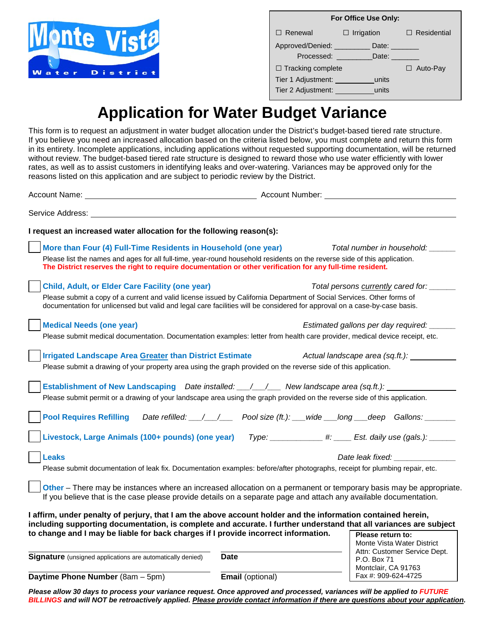

| For Office Use Only:        |                   |                    |
|-----------------------------|-------------------|--------------------|
| $\Box$ Renewal              | $\Box$ Irrigation | $\Box$ Residential |
| Approved/Denied:            | Date: $\Box$      |                    |
| Processed:<br>Date:         |                   |                    |
| $\Box$ Tracking complete    |                   | $\Box$ Auto-Pay    |
| Tier 1 Adjustment:<br>units |                   |                    |
| Tier 2 Adjustment:<br>units |                   |                    |

## **Application for Water Budget Variance**

This form is to request an adjustment in water budget allocation under the District's budget-based tiered rate structure. If you believe you need an increased allocation based on the criteria listed below, you must complete and return this form in its entirety. Incomplete applications, including applications without requested supporting documentation, will be returned without review. The budget-based tiered rate structure is designed to reward those who use water efficiently with lower rates, as well as to assist customers in identifying leaks and over-watering. Variances may be approved only for the reasons listed on this application and are subject to periodic review by the District.

Account Name: Name: Name: Account Number: Account Number: Name: Account Number: Name: Name: Name: Name: Name: Name: Name: Name: Name: Name: Name: Name: Name: Name: Name: Name: Name: Name: Name: Name: Name: Name: Name: Name Service Address: **I request an increased water allocation for the following reason(s): More than Four (4) Full-Time Residents in Household (one year)** *Total number in household: \_\_\_\_\_\_* Please list the names and ages for all full-time, year-round household residents on the reverse side of this application. **The District reserves the right to require documentation or other verification for any full-time resident. Child, Adult, or Elder Care Facility (one year)** *Total persons currently cared for: \_\_\_\_\_\_* Please submit a copy of a current and valid license issued by California Department of Social Services. Other forms of documentation for unlicensed but valid and legal care facilities will be considered for approval on a case-by-case basis. **Medical Needs (one year)** *Estimated gallons per day required: \_\_\_\_\_\_* Please submit medical documentation. Documentation examples: letter from health care provider, medical device receipt, etc. **Irrigated Landscape Area Greater than District Estimate** *Actual landscape area (sq.ft.):* Please submit a drawing of your property area using the graph provided on the reverse side of this application. **Establishment of New Landscaping** *Date installed: \_\_\_/\_\_\_/\_\_\_**New landscape area (sq.ft.):* Please submit permit or a drawing of your landscape area using the graph provided on the reverse side of this application. **Pool Requires Refilling** *Date refilled: \_\_\_/\_\_\_/\_\_\_ Pool size (ft.): \_\_\_wide \_\_\_long \_\_\_deep Gallons: \_\_\_\_\_\_\_* **Livestock, Large Animals (100+ pounds) (one year)** *Type: \_\_\_\_\_\_\_\_\_\_\_\_ #: \_\_\_\_ Est. daily use (gals.): \_\_\_\_\_\_* **Leaks** *Date leak fixed:* $\blacksquare$ Please submit documentation of leak fix. Documentation examples: before/after photographs, receipt for plumbing repair, etc. **Other** – There may be instances where an increased allocation on a permanent or temporary basis may be appropriate. If you believe that is the case please provide details on a separate page and attach any available documentation. **I affirm, under penalty of perjury, that I am the above account holder and the information contained herein, including supporting documentation, is complete and accurate. I further understand that all variances are subject to change and I may be liable for back charges if I provide incorrect information. Signature** (unsigned applications are automatically denied) Date **Please return to:** Monte Vista Water District Attn: Customer Service Dept.

**Daytime Phone Number** (8am – 5pm) **Email** (optional)

P.O. Box 71 Montclair, CA 91763 Fax #: 909-624-4725

*Please allow 30 days to process your variance request. Once approved and processed, variances will be applied to FUTURE BILLINGS and will NOT be retroactively applied. Please provide contact information if there are questions about your application.*